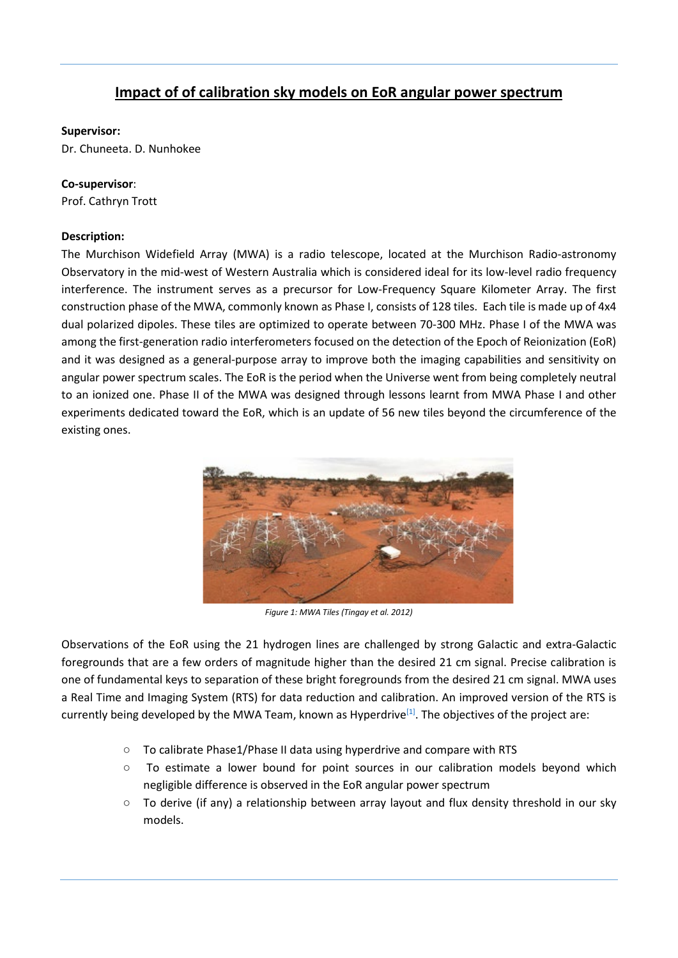## **Impact of of calibration sky models on EoR angular power spectrum**

## **Supervisor:**

Dr. Chuneeta. D. Nunhokee

## **Co-supervisor**:

Prof. Cathryn Trott

## **Description:**

The Murchison Widefield Array (MWA) is a radio telescope, located at the Murchison Radio-astronomy Observatory in the mid-west of Western Australia which is considered ideal for its low-level radio frequency interference. The instrument serves as a precursor for Low-Frequency Square Kilometer Array. The first construction phase of the MWA, commonly known as Phase I, consists of 128 tiles. Each tile is made up of 4x4 dual polarized dipoles. These tiles are optimized to operate between 70-300 MHz. Phase I of the MWA was among the first-generation radio interferometers focused on the detection of the Epoch of Reionization (EoR) and it was designed as a general-purpose array to improve both the imaging capabilities and sensitivity on angular power spectrum scales. The EoR is the period when the Universe went from being completely neutral to an ionized one. Phase II of the MWA was designed through lessons learnt from MWA Phase I and other experiments dedicated toward the EoR, which is an update of 56 new tiles beyond the circumference of the existing ones.



*Figure 1: MWA Tiles (Tingay et al. 2012)*

Observations of the EoR using the 21 hydrogen lines are challenged by strong Galactic and extra-Galactic foregrounds that are a few orders of magnitude higher than the desired 21 cm signal. Precise calibration is one of fundamental keys to separation of these bright foregrounds from the desired 21 cm signal. MWA uses a Real Time and Imaging System (RTS) for data reduction and calibration. An improved version of the RTS is currently being developed by the MWA Team, known as Hyperdrive<sup>[1]</sup>. The objectives of the project are:

- To calibrate Phase1/Phase II data using hyperdrive and compare with RTS
- To estimate a lower bound for point sources in our calibration models beyond which negligible difference is observed in the EoR angular power spectrum
- To derive (if any) a relationship between array layout and flux density threshold in our sky models.